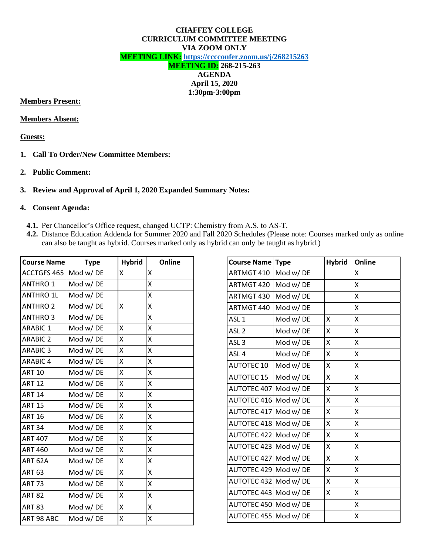#### **CHAFFEY COLLEGE CURRICULUM COMMITTEE MEETING VIA ZOOM ONLY MEETING LINK: <https://cccconfer.zoom.us/j/268215263> MEETING ID: 268-215-263 AGENDA**

# **April 15, 2020 1:30pm-3:00pm**

#### **Members Present:**

#### **Members Absent:**

### **Guests:**

- **1. Call To Order/New Committee Members:**
- **2. Public Comment:**

## **3. Review and Approval of April 1, 2020 Expanded Summary Notes:**

#### **4. Consent Agenda:**

- **4.1.** Per Chancellor's Office request, changed UCTP: Chemistry from A.S. to AS-T.
- **4.2.** Distance Education Addenda for Summer 2020 and Fall 2020 Schedules (Please note: Courses marked only as online can also be taught as hybrid. Courses marked only as hybrid can only be taught as hybrid.)

| <b>Course Name</b> | <b>Type</b> | <b>Hybrid</b> | Online |
|--------------------|-------------|---------------|--------|
| ACCTGFS 465        | Mod w/DE    | X             | X      |
| <b>ANTHRO 1</b>    | Mod w/DE    |               | Χ      |
| <b>ANTHRO 1L</b>   | Mod w/DE    |               | X      |
| <b>ANTHRO 2</b>    | Mod w/DE    | x             | Χ      |
| <b>ANTHRO 3</b>    | Mod w/DE    |               | Χ      |
| <b>ARABIC 1</b>    | Mod w/DE    | X             | Χ      |
| <b>ARABIC 2</b>    | Mod w/DE    | Χ             | Χ      |
| <b>ARABIC 3</b>    | Mod w/DE    | Χ             | X      |
| <b>ARABIC 4</b>    | Mod w/DE    | Χ             | Χ      |
| <b>ART 10</b>      | Mod w/DE    | X             | Χ      |
| <b>ART 12</b>      | Mod w/DE    | X             | Χ      |
| <b>ART 14</b>      | Mod w/DE    | X             | Χ      |
| <b>ART 15</b>      | Mod w/DE    | X             | X      |
| <b>ART 16</b>      | Mod w/DE    | X             | Χ      |
| <b>ART 34</b>      | Mod w/DE    | X             | Χ      |
| <b>ART 407</b>     | Mod w/DE    | X             | Χ      |
| <b>ART 460</b>     | Mod w/DE    | X             | Χ      |
| ART 62A            | Mod w/DE    | Χ             | Χ      |
| <b>ART 63</b>      | Mod w/DE    | X             | Χ      |
| <b>ART 73</b>      | Mod w/DE    | Χ             | Χ      |
| <b>ART 82</b>      | Mod w/DE    | X             | Χ      |
| <b>ART 83</b>      | Mod w/DE    | X             | Χ      |
| ART 98 ABC         | Mod w/DE    | X             | X      |

| <b>Course Name Type</b> |          | <b>Hybrid</b> | Online |
|-------------------------|----------|---------------|--------|
| ARTMGT 410              | Mod w/DE |               | x      |
| ARTMGT 420              | Mod w/DE |               | Χ      |
| ARTMGT 430              | Mod w/DE |               | Χ      |
| ARTMGT 440              | Mod w/DE |               | x      |
| ASL <sub>1</sub>        | Mod w/DE | x             | x      |
| ASL <sub>2</sub>        | Mod w/DE | Χ             | Χ      |
| ASL <sub>3</sub>        | Mod w/DE | Χ             | Χ      |
| ASL <sub>4</sub>        | Mod w/DE | Χ             | Χ      |
| <b>AUTOTEC 10</b>       | Mod w/DE | X             | x      |
| <b>AUTOTEC 15</b>       | Mod w/DE | Χ             | Χ      |
| AUTOTEC 407 Mod w/DE    |          | Χ             | X      |
| AUTOTEC 416             | Mod w/DE | Χ             | Χ      |
| <b>AUTOTEC 417</b>      | Mod w/DE | Χ             | X      |
| AUTOTEC 418 Mod w/ DE   |          | Χ             | Χ      |
| AUTOTEC 422 Mod w/DE    |          | X             | X      |
| AUTOTEC 423 Mod w/DE    |          | Χ             | Χ      |
| AUTOTEC 427 Mod w/DE    |          | X             | Χ      |
| AUTOTEC 429 Mod w/ DE   |          | Χ             | Χ      |
| AUTOTEC 432 Mod w/DE    |          | Χ             | Χ      |
| AUTOTEC 443 Mod w/ DE   |          | Χ             | Χ      |
| AUTOTEC 450 Mod w/ DE   |          |               | Χ      |
| AUTOTEC 455 Mod w/DE    |          |               | х      |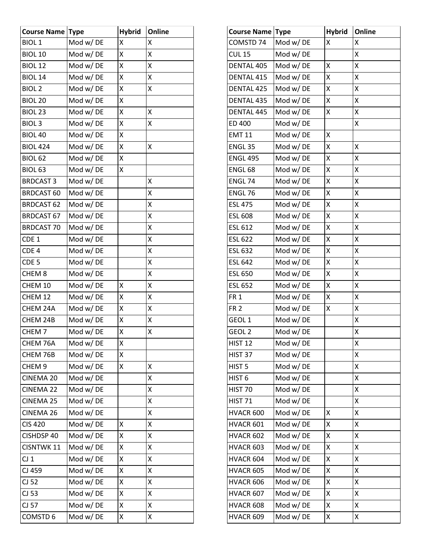| <b>Course Name Type</b> |          | <b>Hybrid</b> | Online |
|-------------------------|----------|---------------|--------|
| <b>BIOL1</b>            | Mod w/DE | Χ             | X      |
| <b>BIOL 10</b>          | Mod w/DE | Χ             | Χ      |
| <b>BIOL 12</b>          | Mod w/DE | X             | Χ      |
| <b>BIOL 14</b>          | Mod w/DE | Χ             | Χ      |
| <b>BIOL 2</b>           | Mod w/DE | X             | Χ      |
| BIOL <sub>20</sub>      | Mod w/DE | Χ             |        |
| BIOL <sub>23</sub>      | Mod w/DE | X             | X      |
| <b>BIOL3</b>            | Mod w/DE | Χ             | Χ      |
| BIOL 40                 | Mod w/DE | X             |        |
| <b>BIOL 424</b>         | Mod w/DE | X             | Χ      |
| BIOL <sub>62</sub>      | Mod w/DE | Χ             |        |
| BIOL <sub>63</sub>      | Mod w/DE | Χ             |        |
| <b>BRDCAST 3</b>        | Mod w/DE |               | X      |
| <b>BRDCAST 60</b>       | Mod w/DE |               | Χ      |
| <b>BRDCAST 62</b>       | Mod w/DE |               | X      |
| <b>BRDCAST 67</b>       | Mod w/DE |               | Χ      |
| <b>BRDCAST 70</b>       | Mod w/DE |               | X      |
| CDE 1                   | Mod w/DE |               | Χ      |
| CDE <sub>4</sub>        | Mod w/DE |               | Χ      |
| CDE <sub>5</sub>        | Mod w/DE |               | Χ      |
| CHEM <sub>8</sub>       | Mod w/DE |               | Χ      |
| CHEM 10                 | Mod w/DE | Χ             | Χ      |
| CHEM 12                 | Mod w/DE | X             | X      |
| CHEM 24A                | Mod w/DE | Χ             | Χ      |
| CHEM 24B                | Mod w/DE | X             | X      |
| CHEM <sub>7</sub>       | Mod w/DE | Χ             | Χ      |
| CHEM 76A                | Mod w/DE | Χ             |        |
| CHEM 76B                | Mod w/DE | Χ             |        |
| CHEM <sub>9</sub>       | Mod w/DE | Χ             | Χ      |
| CINEMA 20               | Mod w/DE |               | Χ      |
| <b>CINEMA 22</b>        | Mod w/DE |               | Χ      |
| <b>CINEMA 25</b>        | Mod w/DE |               | Χ      |
| CINEMA 26               | Mod w/DE |               | Χ      |
| <b>CIS 420</b>          | Mod w/DE | Χ             | Χ      |
| CISHDSP 40              | Mod w/DE | Χ             | Χ      |
| <b>CISNTWK 11</b>       | Mod w/DE | Χ             | Χ      |
| $CJ_1$                  | Mod w/DE | Χ             | Χ      |
| CJ 459                  | Mod w/DE | Χ             | Χ      |
| $CJ$ 52                 | Mod w/DE | Χ             | Χ      |
| CJ 53                   | Mod w/DE | Χ             | Χ      |
| CJ 57                   | Mod w/DE | Χ             | Χ      |
| COMSTD 6                | Mod w/DE | Χ             | Χ      |

| <b>Course Name Type</b> |          | <b>Hybrid</b> | Online |
|-------------------------|----------|---------------|--------|
| COMSTD 74               | Mod w/DE | x             | Χ      |
| <b>CUL 15</b>           | Mod w/DE |               | X      |
| <b>DENTAL 405</b>       | Mod w/DE | Χ             | Χ      |
| DENTAL 415              | Mod w/DE | Χ             | X      |
| DENTAL 425              | Mod w/DE | Χ             | Χ      |
| <b>DENTAL 435</b>       | Mod w/DE | Χ             | Χ      |
| DENTAL 445              | Mod w/DE | Χ             | Χ      |
| ED 400                  | Mod w/DE |               | Χ      |
| <b>EMT 11</b>           | Mod w/DE | Χ             |        |
| ENGL <sub>35</sub>      | Mod w/DE | Χ             | X      |
| <b>ENGL 495</b>         | Mod w/DE | Χ             | Χ      |
| ENGL <sub>68</sub>      | Mod w/DE | Χ             | X      |
| ENGL 74                 | Mod w/DE | Χ             | Χ      |
| ENGL 76                 | Mod w/DE | Χ             | Χ      |
| <b>ESL 475</b>          | Mod w/DE | Χ             | Χ      |
| <b>ESL 608</b>          | Mod w/DE | Χ             | Χ      |
| ESL 612                 | Mod w/DE | Χ             | Χ      |
| <b>ESL 622</b>          | Mod w/DE | Χ             | Χ      |
| <b>ESL 632</b>          | Mod w/DE | Χ             | Χ      |
| <b>ESL 642</b>          | Mod w/DE | Χ             | X      |
| <b>ESL 650</b>          | Mod w/DE | Χ             | Χ      |
| <b>ESL 652</b>          | Mod w/DE | Χ             | Χ      |
| FR <sub>1</sub>         | Mod w/DE | Χ             | Χ      |
| FR <sub>2</sub>         | Mod w/DE | Χ             | Χ      |
| GEOL <sub>1</sub>       | Mod w/DE |               | Χ      |
| GEOL <sub>2</sub>       | Mod w/DE |               | Χ      |
| <b>HIST 12</b>          | Mod w/DE |               | X      |
| HIST <sub>37</sub>      | Mod w/DE |               | Χ      |
| HIST <sub>5</sub>       | Mod w/DE |               | Χ      |
| HIST <sub>6</sub>       | Mod w/DE |               | Χ      |
| HIST 70                 | Mod w/DE |               | Χ      |
| <b>HIST 71</b>          | Mod w/DE |               | Χ      |
| HVACR 600               | Mod w/DE | x             | Χ      |
| HVACR 601               | Mod w/DE | X             | Χ      |
| HVACR 602               | Mod w/DE | Χ             | Χ      |
| HVACR 603               | Mod w/DE | Χ             | Χ      |
| HVACR 604               | Mod w/DE | Χ             | Χ      |
| HVACR 605               | Mod w/DE | Χ             | Χ      |
| HVACR 606               | Mod w/DE | Χ             | Χ      |
| HVACR 607               | Mod w/DE | Χ             | Χ      |
| HVACR 608               | Mod w/DE | Χ             | Χ      |
| HVACR 609               | Mod w/DE | Χ             | Χ      |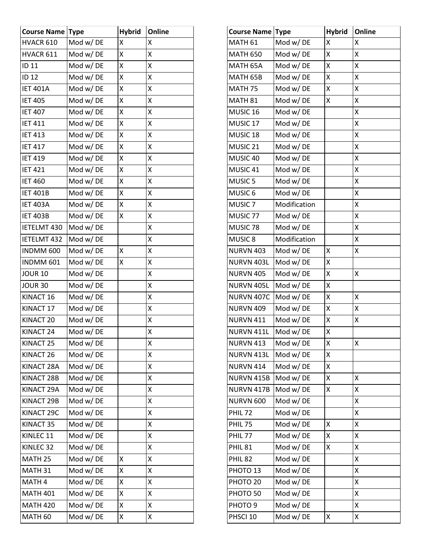| <b>Course Name Type</b> |          | <b>Hybrid</b> | Online |
|-------------------------|----------|---------------|--------|
| HVACR 610               | Mod w/DE | X             | X      |
| HVACR 611               | Mod w/DE | X             | Χ      |
| <b>ID 11</b>            | Mod w/DE | Χ             | X      |
| <b>ID 12</b>            | Mod w/DE | Χ             | Χ      |
| <b>IET 401A</b>         | Mod w/DE | X             | X      |
| <b>IET 405</b>          | Mod w/DE | Χ             | Χ      |
| <b>IET 407</b>          | Mod w/DE | X             | X      |
| <b>IET 411</b>          | Mod w/DE | Χ             | Χ      |
| <b>IET 413</b>          | Mod w/DE | X             | X      |
| <b>IET 417</b>          | Mod w/DE | X             | X      |
| <b>IET 419</b>          | Mod w/DE | X             | X      |
| <b>IET 421</b>          | Mod w/DE | Χ             | Χ      |
| <b>IET 460</b>          | Mod w/DE | X             | X      |
| <b>IET 401B</b>         | Mod w/DE | Χ             | Χ      |
| <b>IET 403A</b>         | Mod w/DE | X             | X      |
| <b>IET 403B</b>         | Mod w/DE | Χ             | Χ      |
| IETELMT 430             | Mod w/DE |               | X      |
| <b>IETELMT 432</b>      | Mod w/DE |               | X      |
| INDMM 600               | Mod w/DE | Χ             | X      |
| INDMM 601               | Mod w/DE | Χ             | Χ      |
| <b>JOUR 10</b>          | Mod w/DE |               | X      |
| <b>JOUR 30</b>          | Mod w/DE |               | Χ      |
| KINACT 16               | Mod w/DE |               | X      |
| KINACT 17               | Mod w/DE |               | Χ      |
| KINACT <sub>20</sub>    | Mod w/DE |               | X      |
| KINACT <sub>24</sub>    | Mod w/DE |               | Χ      |
| KINACT <sub>25</sub>    | Mod w/DE |               | Χ      |
| KINACT <sub>26</sub>    | Mod w/DE |               | Χ      |
| KINACT 28A              | Mod w/DE |               | Χ      |
| KINACT 28B              | Mod w/DE |               | Χ      |
| KINACT 29A              | Mod w/DE |               | Χ      |
| KINACT 29B              | Mod w/DE |               | Χ      |
| KINACT 29C              | Mod w/DE |               | Χ      |
| KINACT 35               | Mod w/DE |               | Χ      |
| KINLEC 11               | Mod w/DE |               | Χ      |
| KINLEC <sub>32</sub>    | Mod w/DE |               | Χ      |
| MATH <sub>25</sub>      | Mod w/DE | Χ             | Χ      |
| MATH 31                 | Mod w/DE | Χ             | Χ      |
| MATH <sub>4</sub>       | Mod w/DE | Χ             | Χ      |
| <b>MATH 401</b>         | Mod w/DE | Χ             | Χ      |
| <b>MATH 420</b>         | Mod w/DE | Χ             | Χ      |
| MATH <sub>60</sub>      | Mod w/DE | Χ             | Χ      |

| <b>Course Name</b>  | <b>Type</b>  | <b>Hybrid</b> | Online |
|---------------------|--------------|---------------|--------|
| MATH <sub>61</sub>  | Mod w/DE     | X             | X      |
| <b>MATH 650</b>     | Mod w/DE     | Χ             | X      |
| MATH 65A            | Mod w/DE     | Χ             | Χ      |
| MATH 65B            | Mod w/DE     | X             | X      |
| MATH <sub>75</sub>  | Mod w/DE     | Χ             | X      |
| MATH <sub>81</sub>  | Mod w/DE     | Χ             | Χ      |
| MUSIC 16            | Mod w/DE     |               | Χ      |
| MUSIC <sub>17</sub> | Mod w/DE     |               | X      |
| MUSIC <sub>18</sub> | Mod w/DE     |               | X      |
| MUSIC <sub>21</sub> | Mod w/DE     |               | X      |
| MUSIC 40            | Mod w/DE     |               | Χ      |
| MUSIC 41            | Mod w/DE     |               | X      |
| MUSIC <sub>5</sub>  | Mod w/DE     |               | X      |
| MUSIC <sub>6</sub>  | Mod w/DE     |               | Χ      |
| MUSIC <sub>7</sub>  | Modification |               | X      |
| MUSIC <sub>77</sub> | Mod w/DE     |               | X      |
| MUSIC <sub>78</sub> | Mod w/DE     |               | X      |
| MUSIC <sub>8</sub>  | Modification |               | X      |
| <b>NURVN 403</b>    | Mod w/DE     | x             | Χ      |
| NURVN 403L          | Mod w/DE     | X             |        |
| <b>NURVN 405</b>    | Mod w/DE     | Χ             | X      |
| NURVN 405L          | Mod w/DE     | Χ             |        |
| <b>NURVN 407C</b>   | Mod w/DE     | Χ             | Χ      |
| <b>NURVN 409</b>    | Mod w/DE     | X             | X      |
| <b>NURVN 411</b>    | Mod w/DE     | Χ             | Χ      |
| NURVN 411L          | Mod w/DE     | Χ             |        |
| NURVN 413           | Mod w/ DE    | х             | Χ      |
| NURVN 413L          | Mod w/DE     | Χ             |        |
| <b>NURVN 414</b>    | Mod w/DE     | Χ             |        |
| NURVN 415B          | Mod w/DE     | Χ             | X      |
| NURVN 417B          | Mod w/DE     | Χ             | X      |
| <b>NURVN 600</b>    | Mod w/DE     |               | Χ      |
| PHIL <sub>72</sub>  | Mod w/DE     |               | Χ      |
| <b>PHIL 75</b>      | Mod w/DE     | x             | Χ      |
| PHIL <sub>77</sub>  | Mod w/DE     | Χ             | Χ      |
| <b>PHIL 81</b>      | Mod w/DE     | Χ             | Χ      |
| <b>PHIL 82</b>      | Mod w/DE     |               | Χ      |
| PHOTO <sub>13</sub> | Mod w/DE     |               | Χ      |
| PHOTO <sub>20</sub> | Mod w/DE     |               | Χ      |
| PHOTO <sub>50</sub> | Mod w/DE     |               | Χ      |
| PHOTO <sub>9</sub>  | Mod w/DE     |               | Χ      |
| PHSCI 10            | Mod w/DE     | X             | Χ      |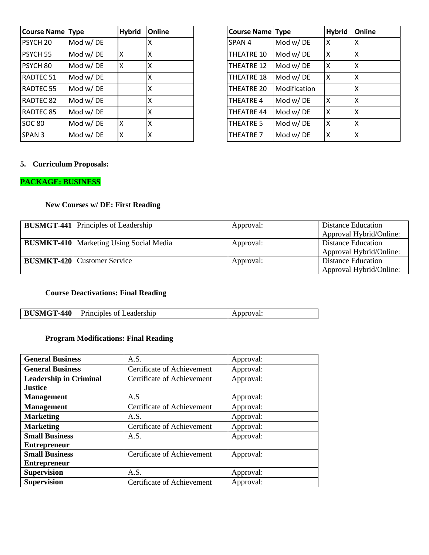| <b>Course Name Type</b> |          | <b>Hybrid</b> | Online |
|-------------------------|----------|---------------|--------|
| PSYCH <sub>20</sub>     | Mod w/DE |               | x      |
| PSYCH <sub>55</sub>     | Mod w/DE | Χ             | X      |
| PSYCH <sub>80</sub>     | Mod w/DE | Χ             | X      |
| RADTEC <sub>51</sub>    | Mod w/DE |               | X      |
| RADTEC <sub>55</sub>    | Mod w/DE |               | X      |
| RADTEC <sub>82</sub>    | Mod w/DE |               | X      |
| RADTEC 85               | Mod w/DE |               | X      |
| <b>SOC 80</b>           | Mod w/DE | χ             | X      |
| SPAN <sub>3</sub>       | Mod w/DE | χ             | X      |

| <b>Course Name Type</b> |              | <b>Hybrid</b> | Online |
|-------------------------|--------------|---------------|--------|
| SPAN <sub>4</sub>       | Mod w/DE     | X             | x      |
| <b>THEATRE 10</b>       | Mod w/DE     | x             | X      |
| <b>THEATRE 12</b>       | Mod w/DE     | Χ             | x      |
| <b>THEATRE 18</b>       | Mod w/DE     | x             | x      |
| THEATRE 20              | Modification |               | Χ      |
| <b>THEATRE 4</b>        | Mod w/DE     | X             | x      |
| <b>THEATRE 44</b>       | Mod w/DE     | Χ             | x      |
| <b>THEATRE 5</b>        | Mod w/DE     | X             | X      |
| THEATRE 7               | Mod w/DE     | Χ             | Χ      |

## **5. Curriculum Proposals:**

## **PACKAGE: BUSINESS**

## **New Courses w/ DE: First Reading**

| <b>BUSMGT-441</b> Principles of Leadership     | Approval: | Distance Education<br>Approval Hybrid/Online: |
|------------------------------------------------|-----------|-----------------------------------------------|
| <b>BUSMKT-410</b> Marketing Using Social Media | Approval: | Distance Education                            |
|                                                |           | Approval Hybrid/Online:                       |
| <b>BUSMKT-420</b> Customer Service             | Approval: | Distance Education                            |
|                                                |           | Approval Hybrid/Online:                       |

## **Course Deactivations: Final Reading**

| <b>BUSMGT-</b> | Principles of | ∙vai. |
|----------------|---------------|-------|
| $-440$         | eadership_    | нн    |

## **Program Modifications: Final Reading**

| <b>General Business</b>       | A.S.                       | Approval: |
|-------------------------------|----------------------------|-----------|
| <b>General Business</b>       | Certificate of Achievement | Approval: |
| <b>Leadership in Criminal</b> | Certificate of Achievement | Approval: |
| <b>Justice</b>                |                            |           |
| <b>Management</b>             | A.S                        | Approval: |
| <b>Management</b>             | Certificate of Achievement | Approval: |
| <b>Marketing</b>              | A.S.                       | Approval: |
| <b>Marketing</b>              | Certificate of Achievement | Approval: |
| <b>Small Business</b>         | A.S.                       | Approval: |
| <b>Entrepreneur</b>           |                            |           |
| <b>Small Business</b>         | Certificate of Achievement | Approval: |
| <b>Entrepreneur</b>           |                            |           |
| <b>Supervision</b>            | A.S.                       | Approval: |
| <b>Supervision</b>            | Certificate of Achievement | Approval: |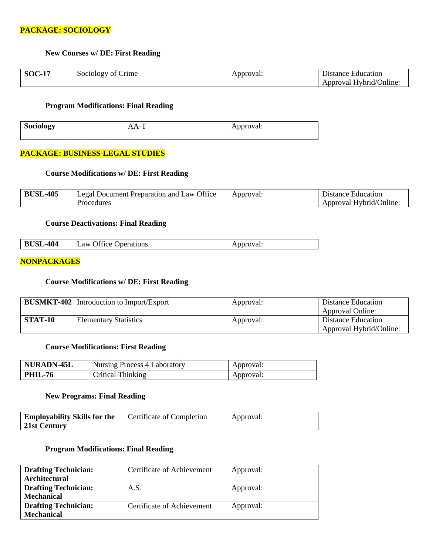### **PACKAGE: SOCIOLOGY**

#### **New Courses w/ DE: First Reading**

| <b>SOC-17</b> | Sociology of Crime | Approval: | Distance Education      |
|---------------|--------------------|-----------|-------------------------|
|               |                    |           | Approval Hybrid/Online: |

#### **Program Modifications: Final Reading**

| Sociology | $\mathbf{v}$<br>л | Approval: |
|-----------|-------------------|-----------|
|           |                   |           |

#### **PACKAGE: BUSINESS-LEGAL STUDIES**

### **Course Modifications w/ DE: First Reading**

| -405-ر | Office<br>Legal Document Preparation and Law C | Approval: | Distance Education      |
|--------|------------------------------------------------|-----------|-------------------------|
|        | Procedures                                     |           | Approval Hybrid/Online: |

#### **Course Deactivations: Final Reading**

| <b>BUSL-404</b><br><b>Law Office Operations</b><br>Approval: |  |
|--------------------------------------------------------------|--|
|--------------------------------------------------------------|--|

#### **NONPACKAGES**

### **Course Modifications w/ DE: First Reading**

|                | <b>BUSMKT-402</b> Introduction to Import/Export | Approval: | Distance Education<br>Approval Online:        |
|----------------|-------------------------------------------------|-----------|-----------------------------------------------|
| <b>STAT-10</b> | <b>Elementary Statistics</b>                    | Approval: | Distance Education<br>Approval Hybrid/Online: |

#### **Course Modifications: First Reading**

| NURADN-45L     | <b>Nursing Process 4 Laboratory</b> | Approval: |
|----------------|-------------------------------------|-----------|
| <b>PHIL-76</b> | Critical Thinking                   | Approval: |

#### **New Programs: Final Reading**

| <b>Employability Skills for the</b> | Certificate of Completion | Approval: |
|-------------------------------------|---------------------------|-----------|
| 21st Century                        |                           |           |

## **Program Modifications: Final Reading**

| <b>Drafting Technician:</b> | Certificate of Achievement | Approval: |
|-----------------------------|----------------------------|-----------|
| Architectural               |                            |           |
| <b>Drafting Technician:</b> | A.S.                       | Approval: |
| <b>Mechanical</b>           |                            |           |
| <b>Drafting Technician:</b> | Certificate of Achievement | Approval: |
| <b>Mechanical</b>           |                            |           |